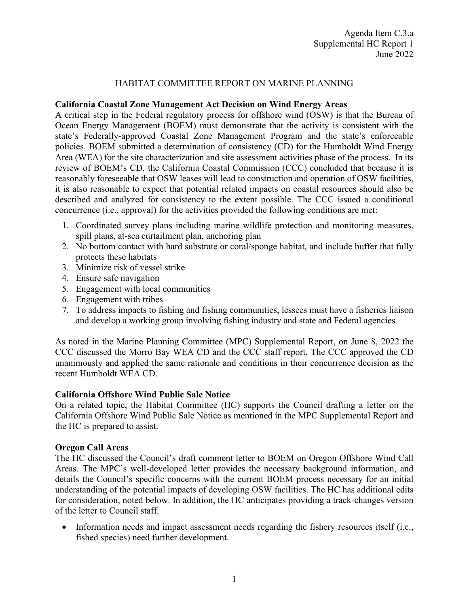### HABITAT COMMITTEE REPORT ON MARINE PLANNING

#### **California Coastal Zone Management Act Decision on Wind Energy Areas**

A critical step in the Federal regulatory process for offshore wind (OSW) is that the Bureau of Ocean Energy Management (BOEM) must demonstrate that the activity is consistent with the state's Federally-approved Coastal Zone Management Program and the state's enforceable policies. BOEM submitted a determination of consistency (CD) for the Humboldt Wind Energy Area (WEA) for the site characterization and site assessment activities phase of the process. In its review of BOEM's CD, the California Coastal Commission (CCC) concluded that because it is reasonably foreseeable that OSW leases will lead to construction and operation of OSW facilities, it is also reasonable to expect that potential related impacts on coastal resources should also be described and analyzed for consistency to the extent possible. The CCC issued a conditional concurrence (i.e., approval) for the activities provided the following conditions are met:

- 1. Coordinated survey plans including marine wildlife protection and monitoring measures, spill plans, at-sea curtailment plan, anchoring plan
- 2. No bottom contact with hard substrate or coral/sponge habitat, and include buffer that fully protects these habitats
- 3. Minimize risk of vessel strike
- 4. Ensure safe navigation
- 5. Engagement with local communities
- 6. Engagement with tribes
- 7. To address impacts to fishing and fishing communities, lessees must have a fisheries liaison and develop a working group involving fishing industry and state and Federal agencies

As noted in the Marine Planning Committee (MPC) Supplemental Report, on June 8, 2022 the CCC discussed the Morro Bay WEA CD and the CCC staff report. The CCC approved the CD unanimously and applied the same rationale and conditions in their concurrence decision as the recent Humboldt WEA CD.

### **California Offshore Wind Public Sale Notice**

On a related topic, the Habitat Committee (HC) supports the Council drafting a letter on the California Offshore Wind Public Sale Notice as mentioned in the MPC Supplemental Report and the HC is prepared to assist.

### **Oregon Call Areas**

The HC discussed the Council's draft comment letter to BOEM on Oregon Offshore Wind Call Areas. The MPC's well-developed letter provides the necessary background information, and details the Council's specific concerns with the current BOEM process necessary for an initial understanding of the potential impacts of developing OSW facilities. The HC has additional edits for consideration, noted below. In addition, the HC anticipates providing a track-changes version of the letter to Council staff.

• Information needs and impact assessment needs regarding the fishery resources itself (i.e., fished species) need further development.